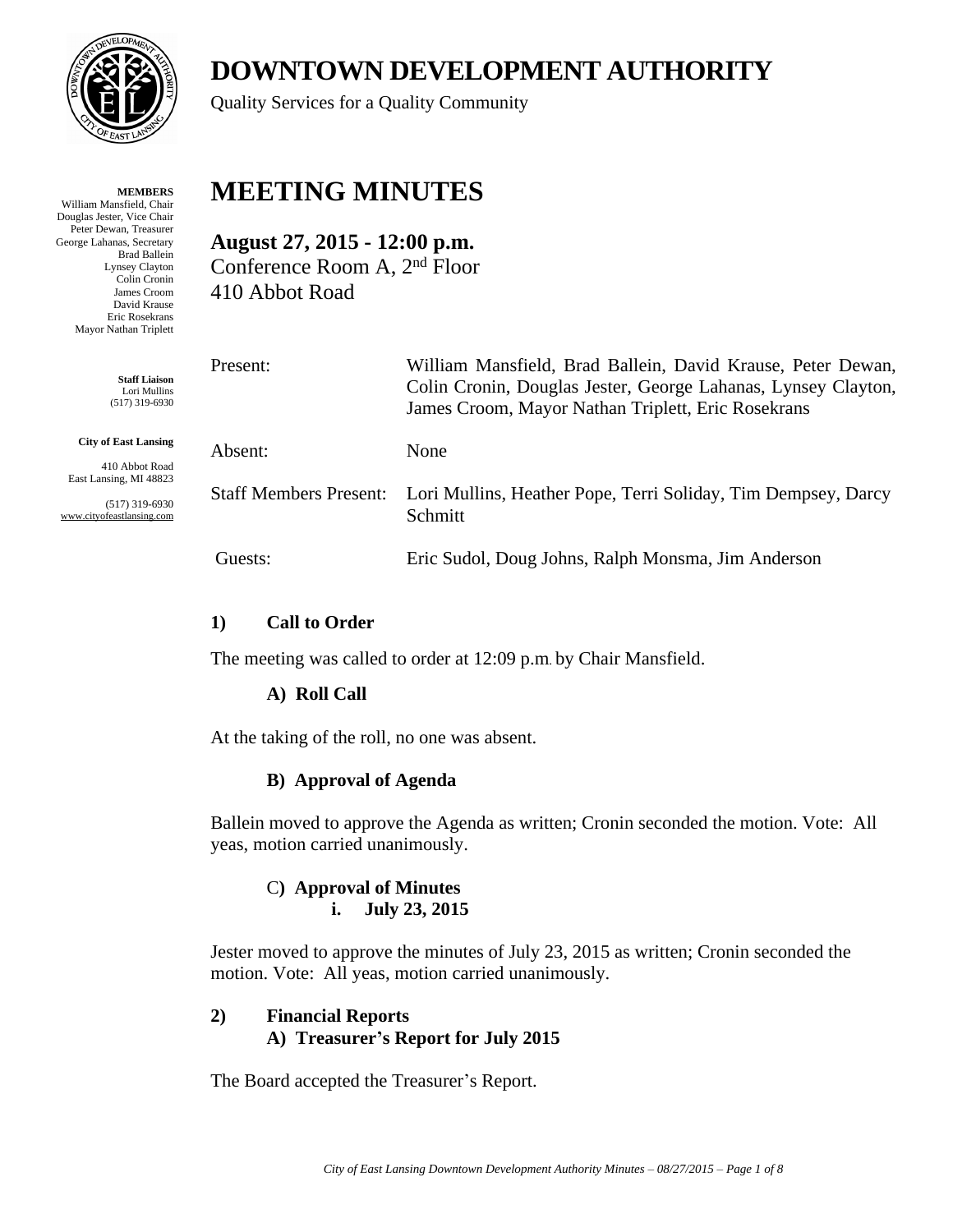

**MEMBERS** William Mansfield, Chair Douglas Jester, Vice Chair Peter Dewan, Treasurer

George Lahanas, Secretary Brad Ballein Lynsey Clayton Colin Cronin James Croom David Krause Eric Rosekrans Mayor Nathan Triplett

> **Staff Liaison** Lori Mullins (517) 319-6930

**City of East Lansing**

410 Abbot Road East Lansing, MI 48823

(517) 319-6930 www.cityofeastlansing.com

# **DOWNTOWN DEVELOPMENT AUTHORITY**

Quality Services for a Quality Community

## **MEETING MINUTES**

**August 27, 2015 - 12:00 p.m.** Conference Room A, 2nd Floor 410 Abbot Road

| Present:                      | William Mansfield, Brad Ballein, David Krause, Peter Dewan,<br>Colin Cronin, Douglas Jester, George Lahanas, Lynsey Clayton,<br>James Croom, Mayor Nathan Triplett, Eric Rosekrans |
|-------------------------------|------------------------------------------------------------------------------------------------------------------------------------------------------------------------------------|
| Absent:                       | None                                                                                                                                                                               |
| <b>Staff Members Present:</b> | Lori Mullins, Heather Pope, Terri Soliday, Tim Dempsey, Darcy<br>Schmitt                                                                                                           |
| Guests:                       | Eric Sudol, Doug Johns, Ralph Monsma, Jim Anderson                                                                                                                                 |

## **1) Call to Order**

The meeting was called to order at 12:09 p.m. by Chair Mansfield.

## **A) Roll Call**

At the taking of the roll, no one was absent.

## **B) Approval of Agenda**

Ballein moved to approve the Agenda as written; Cronin seconded the motion. Vote: All yeas, motion carried unanimously.

#### C**) Approval of Minutes i. July 23, 2015**

Jester moved to approve the minutes of July 23, 2015 as written; Cronin seconded the motion. Vote: All yeas, motion carried unanimously.

## **2) Financial Reports A) Treasurer's Report for July 2015**

The Board accepted the Treasurer's Report.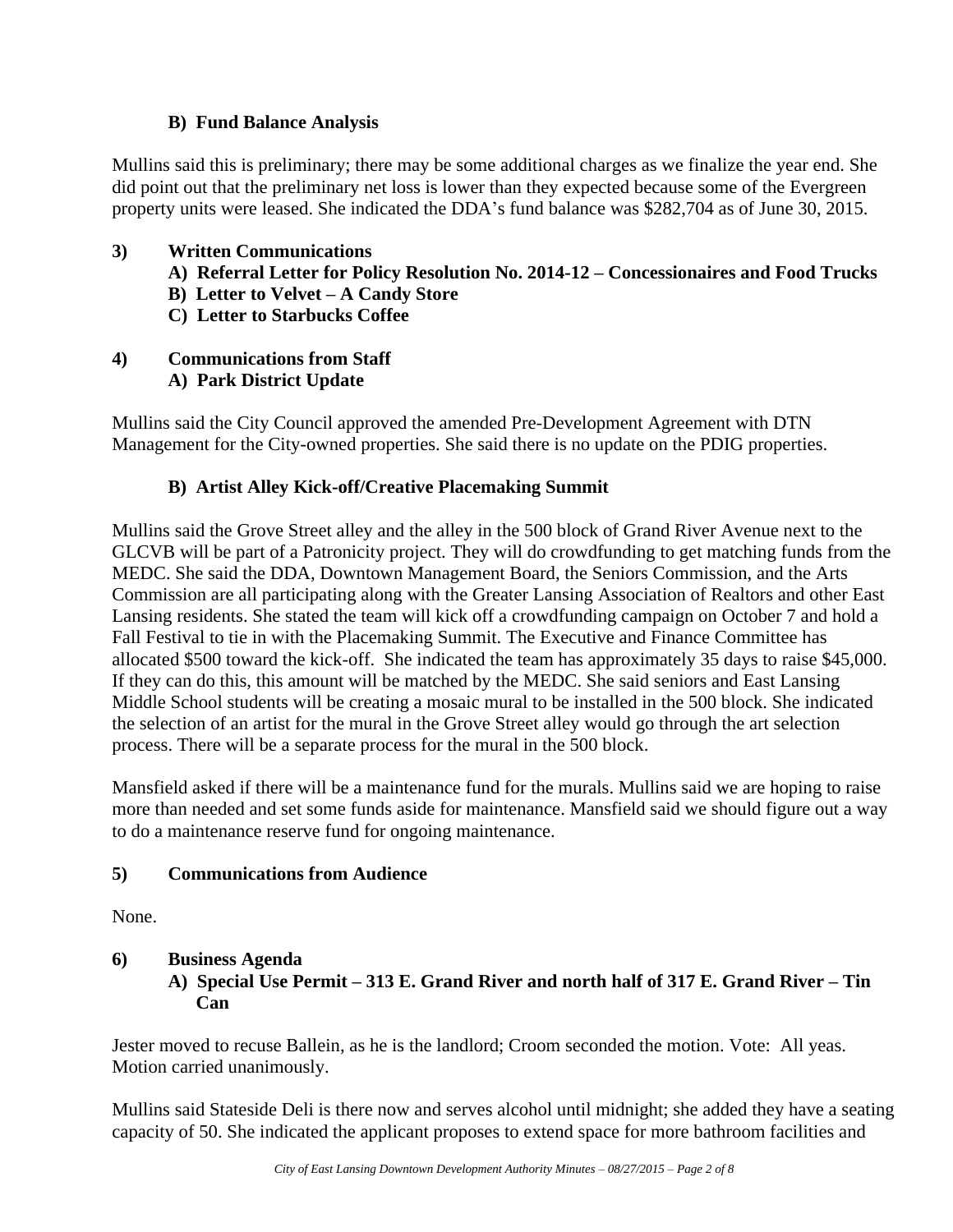#### **B) Fund Balance Analysis**

Mullins said this is preliminary; there may be some additional charges as we finalize the year end. She did point out that the preliminary net loss is lower than they expected because some of the Evergreen property units were leased. She indicated the DDA's fund balance was \$282,704 as of June 30, 2015.

#### **3) Written Communications**

- **A) Referral Letter for Policy Resolution No. 2014-12 – Concessionaires and Food Trucks**
- **B) Letter to Velvet – A Candy Store**
- **C) Letter to Starbucks Coffee**

#### **4) Communications from Staff A) Park District Update**

Mullins said the City Council approved the amended Pre-Development Agreement with DTN Management for the City-owned properties. She said there is no update on the PDIG properties.

## **B) Artist Alley Kick-off/Creative Placemaking Summit**

Mullins said the Grove Street alley and the alley in the 500 block of Grand River Avenue next to the GLCVB will be part of a Patronicity project. They will do crowdfunding to get matching funds from the MEDC. She said the DDA, Downtown Management Board, the Seniors Commission, and the Arts Commission are all participating along with the Greater Lansing Association of Realtors and other East Lansing residents. She stated the team will kick off a crowdfunding campaign on October 7 and hold a Fall Festival to tie in with the Placemaking Summit. The Executive and Finance Committee has allocated \$500 toward the kick-off. She indicated the team has approximately 35 days to raise \$45,000. If they can do this, this amount will be matched by the MEDC. She said seniors and East Lansing Middle School students will be creating a mosaic mural to be installed in the 500 block. She indicated the selection of an artist for the mural in the Grove Street alley would go through the art selection process. There will be a separate process for the mural in the 500 block.

Mansfield asked if there will be a maintenance fund for the murals. Mullins said we are hoping to raise more than needed and set some funds aside for maintenance. Mansfield said we should figure out a way to do a maintenance reserve fund for ongoing maintenance.

#### **5) Communications from Audience**

None.

### **6) Business Agenda A) Special Use Permit – 313 E. Grand River and north half of 317 E. Grand River – Tin Can**

Jester moved to recuse Ballein, as he is the landlord; Croom seconded the motion. Vote: All yeas. Motion carried unanimously.

Mullins said Stateside Deli is there now and serves alcohol until midnight; she added they have a seating capacity of 50. She indicated the applicant proposes to extend space for more bathroom facilities and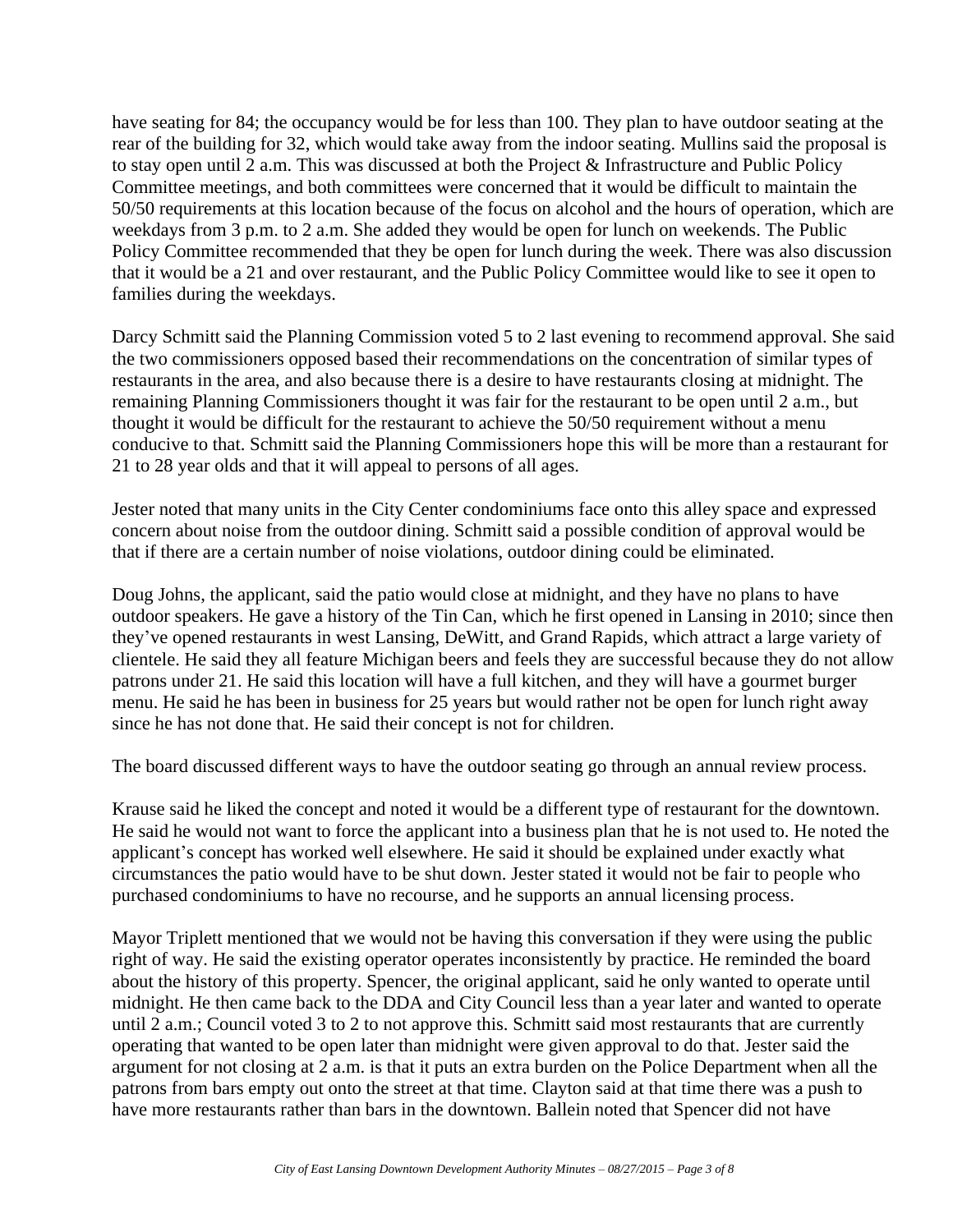have seating for 84; the occupancy would be for less than 100. They plan to have outdoor seating at the rear of the building for 32, which would take away from the indoor seating. Mullins said the proposal is to stay open until 2 a.m. This was discussed at both the Project & Infrastructure and Public Policy Committee meetings, and both committees were concerned that it would be difficult to maintain the 50/50 requirements at this location because of the focus on alcohol and the hours of operation, which are weekdays from 3 p.m. to 2 a.m. She added they would be open for lunch on weekends. The Public Policy Committee recommended that they be open for lunch during the week. There was also discussion that it would be a 21 and over restaurant, and the Public Policy Committee would like to see it open to families during the weekdays.

Darcy Schmitt said the Planning Commission voted 5 to 2 last evening to recommend approval. She said the two commissioners opposed based their recommendations on the concentration of similar types of restaurants in the area, and also because there is a desire to have restaurants closing at midnight. The remaining Planning Commissioners thought it was fair for the restaurant to be open until 2 a.m., but thought it would be difficult for the restaurant to achieve the 50/50 requirement without a menu conducive to that. Schmitt said the Planning Commissioners hope this will be more than a restaurant for 21 to 28 year olds and that it will appeal to persons of all ages.

Jester noted that many units in the City Center condominiums face onto this alley space and expressed concern about noise from the outdoor dining. Schmitt said a possible condition of approval would be that if there are a certain number of noise violations, outdoor dining could be eliminated.

Doug Johns, the applicant, said the patio would close at midnight, and they have no plans to have outdoor speakers. He gave a history of the Tin Can, which he first opened in Lansing in 2010; since then they've opened restaurants in west Lansing, DeWitt, and Grand Rapids, which attract a large variety of clientele. He said they all feature Michigan beers and feels they are successful because they do not allow patrons under 21. He said this location will have a full kitchen, and they will have a gourmet burger menu. He said he has been in business for 25 years but would rather not be open for lunch right away since he has not done that. He said their concept is not for children.

The board discussed different ways to have the outdoor seating go through an annual review process.

Krause said he liked the concept and noted it would be a different type of restaurant for the downtown. He said he would not want to force the applicant into a business plan that he is not used to. He noted the applicant's concept has worked well elsewhere. He said it should be explained under exactly what circumstances the patio would have to be shut down. Jester stated it would not be fair to people who purchased condominiums to have no recourse, and he supports an annual licensing process.

Mayor Triplett mentioned that we would not be having this conversation if they were using the public right of way. He said the existing operator operates inconsistently by practice. He reminded the board about the history of this property. Spencer, the original applicant, said he only wanted to operate until midnight. He then came back to the DDA and City Council less than a year later and wanted to operate until 2 a.m.; Council voted 3 to 2 to not approve this. Schmitt said most restaurants that are currently operating that wanted to be open later than midnight were given approval to do that. Jester said the argument for not closing at 2 a.m. is that it puts an extra burden on the Police Department when all the patrons from bars empty out onto the street at that time. Clayton said at that time there was a push to have more restaurants rather than bars in the downtown. Ballein noted that Spencer did not have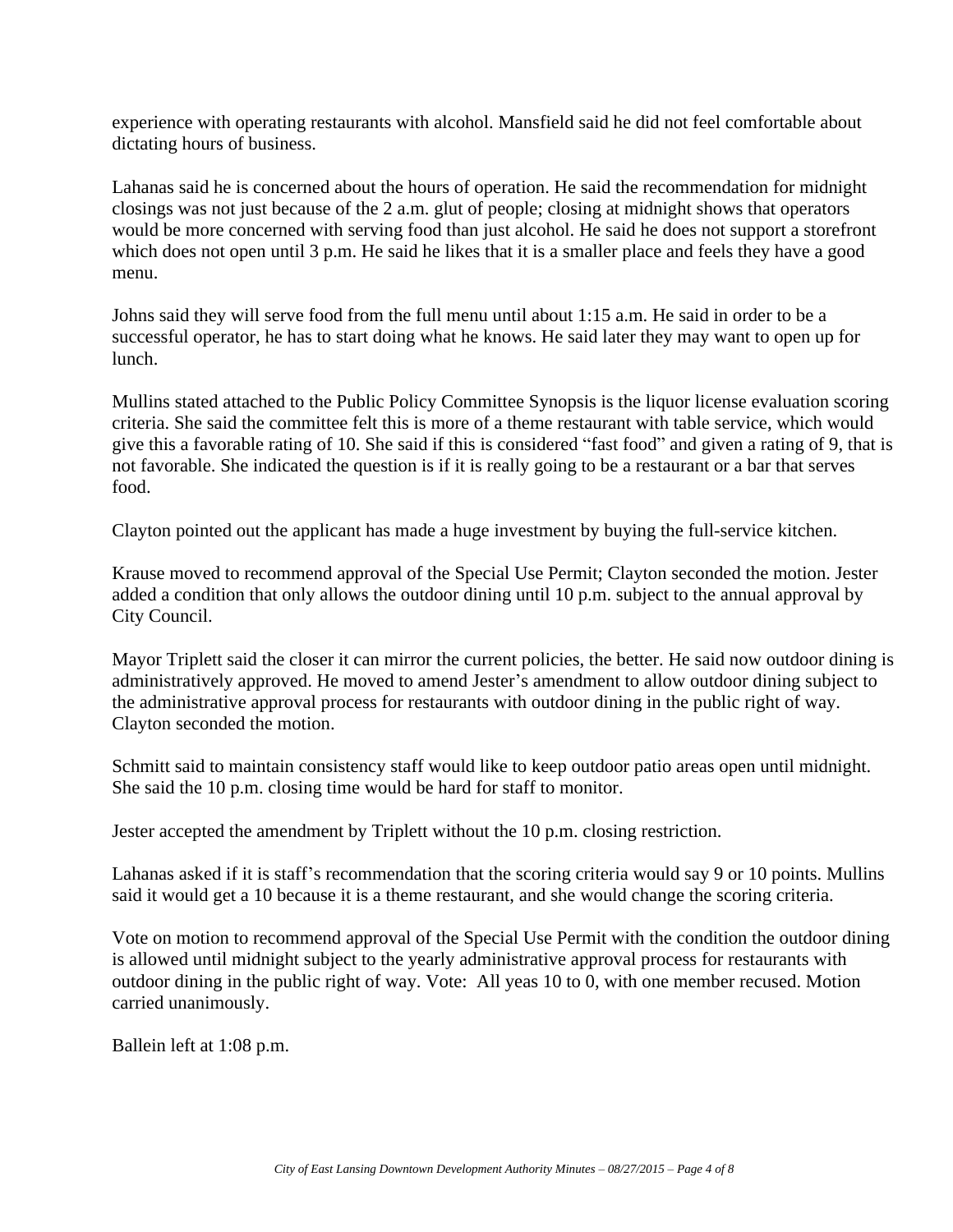experience with operating restaurants with alcohol. Mansfield said he did not feel comfortable about dictating hours of business.

Lahanas said he is concerned about the hours of operation. He said the recommendation for midnight closings was not just because of the 2 a.m. glut of people; closing at midnight shows that operators would be more concerned with serving food than just alcohol. He said he does not support a storefront which does not open until 3 p.m. He said he likes that it is a smaller place and feels they have a good menu.

Johns said they will serve food from the full menu until about 1:15 a.m. He said in order to be a successful operator, he has to start doing what he knows. He said later they may want to open up for lunch.

Mullins stated attached to the Public Policy Committee Synopsis is the liquor license evaluation scoring criteria. She said the committee felt this is more of a theme restaurant with table service, which would give this a favorable rating of 10. She said if this is considered "fast food" and given a rating of 9, that is not favorable. She indicated the question is if it is really going to be a restaurant or a bar that serves food.

Clayton pointed out the applicant has made a huge investment by buying the full-service kitchen.

Krause moved to recommend approval of the Special Use Permit; Clayton seconded the motion. Jester added a condition that only allows the outdoor dining until 10 p.m. subject to the annual approval by City Council.

Mayor Triplett said the closer it can mirror the current policies, the better. He said now outdoor dining is administratively approved. He moved to amend Jester's amendment to allow outdoor dining subject to the administrative approval process for restaurants with outdoor dining in the public right of way. Clayton seconded the motion.

Schmitt said to maintain consistency staff would like to keep outdoor patio areas open until midnight. She said the 10 p.m. closing time would be hard for staff to monitor.

Jester accepted the amendment by Triplett without the 10 p.m. closing restriction.

Lahanas asked if it is staff's recommendation that the scoring criteria would say 9 or 10 points. Mullins said it would get a 10 because it is a theme restaurant, and she would change the scoring criteria.

Vote on motion to recommend approval of the Special Use Permit with the condition the outdoor dining is allowed until midnight subject to the yearly administrative approval process for restaurants with outdoor dining in the public right of way. Vote: All yeas 10 to 0, with one member recused. Motion carried unanimously.

Ballein left at 1:08 p.m.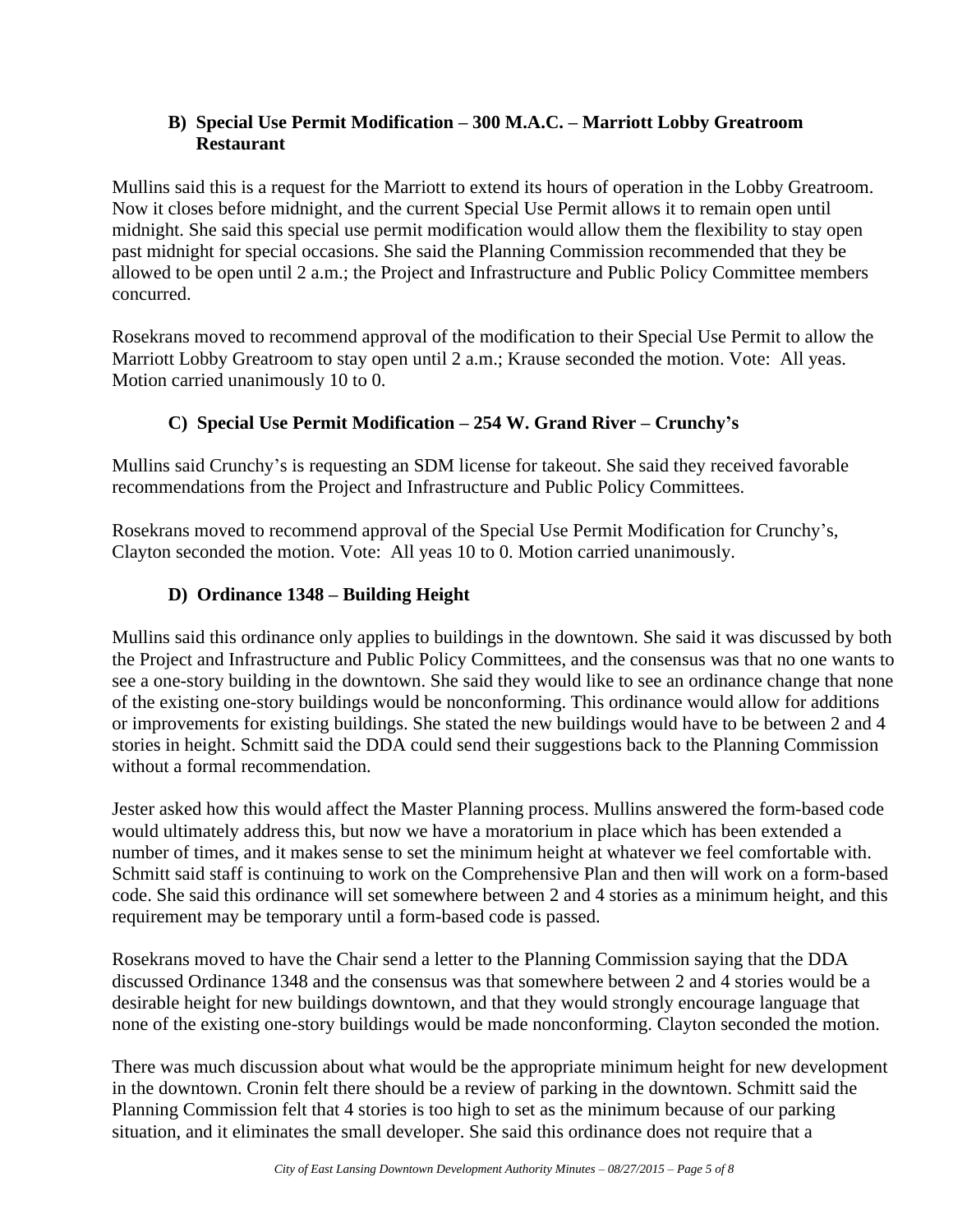## **B) Special Use Permit Modification – 300 M.A.C. – Marriott Lobby Greatroom Restaurant**

Mullins said this is a request for the Marriott to extend its hours of operation in the Lobby Greatroom. Now it closes before midnight, and the current Special Use Permit allows it to remain open until midnight. She said this special use permit modification would allow them the flexibility to stay open past midnight for special occasions. She said the Planning Commission recommended that they be allowed to be open until 2 a.m.; the Project and Infrastructure and Public Policy Committee members concurred.

Rosekrans moved to recommend approval of the modification to their Special Use Permit to allow the Marriott Lobby Greatroom to stay open until 2 a.m.; Krause seconded the motion. Vote: All yeas. Motion carried unanimously 10 to 0.

## **C) Special Use Permit Modification – 254 W. Grand River – Crunchy's**

Mullins said Crunchy's is requesting an SDM license for takeout. She said they received favorable recommendations from the Project and Infrastructure and Public Policy Committees.

Rosekrans moved to recommend approval of the Special Use Permit Modification for Crunchy's, Clayton seconded the motion. Vote: All yeas 10 to 0. Motion carried unanimously.

## **D) Ordinance 1348 – Building Height**

Mullins said this ordinance only applies to buildings in the downtown. She said it was discussed by both the Project and Infrastructure and Public Policy Committees, and the consensus was that no one wants to see a one-story building in the downtown. She said they would like to see an ordinance change that none of the existing one-story buildings would be nonconforming. This ordinance would allow for additions or improvements for existing buildings. She stated the new buildings would have to be between 2 and 4 stories in height. Schmitt said the DDA could send their suggestions back to the Planning Commission without a formal recommendation.

Jester asked how this would affect the Master Planning process. Mullins answered the form-based code would ultimately address this, but now we have a moratorium in place which has been extended a number of times, and it makes sense to set the minimum height at whatever we feel comfortable with. Schmitt said staff is continuing to work on the Comprehensive Plan and then will work on a form-based code. She said this ordinance will set somewhere between 2 and 4 stories as a minimum height, and this requirement may be temporary until a form-based code is passed.

Rosekrans moved to have the Chair send a letter to the Planning Commission saying that the DDA discussed Ordinance 1348 and the consensus was that somewhere between 2 and 4 stories would be a desirable height for new buildings downtown, and that they would strongly encourage language that none of the existing one-story buildings would be made nonconforming. Clayton seconded the motion.

There was much discussion about what would be the appropriate minimum height for new development in the downtown. Cronin felt there should be a review of parking in the downtown. Schmitt said the Planning Commission felt that 4 stories is too high to set as the minimum because of our parking situation, and it eliminates the small developer. She said this ordinance does not require that a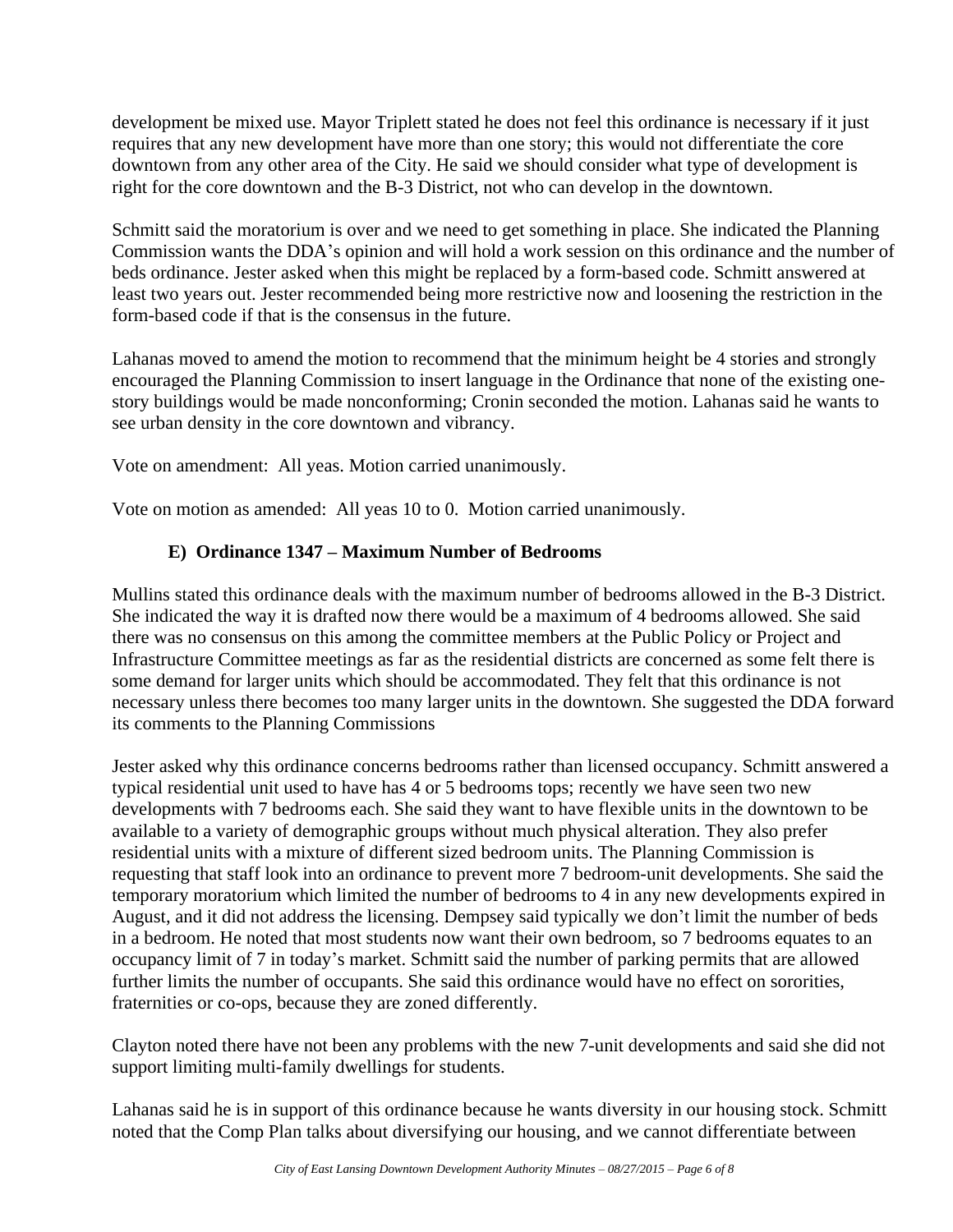development be mixed use. Mayor Triplett stated he does not feel this ordinance is necessary if it just requires that any new development have more than one story; this would not differentiate the core downtown from any other area of the City. He said we should consider what type of development is right for the core downtown and the B-3 District, not who can develop in the downtown.

Schmitt said the moratorium is over and we need to get something in place. She indicated the Planning Commission wants the DDA's opinion and will hold a work session on this ordinance and the number of beds ordinance. Jester asked when this might be replaced by a form-based code. Schmitt answered at least two years out. Jester recommended being more restrictive now and loosening the restriction in the form-based code if that is the consensus in the future.

Lahanas moved to amend the motion to recommend that the minimum height be 4 stories and strongly encouraged the Planning Commission to insert language in the Ordinance that none of the existing onestory buildings would be made nonconforming; Cronin seconded the motion. Lahanas said he wants to see urban density in the core downtown and vibrancy.

Vote on amendment: All yeas. Motion carried unanimously.

Vote on motion as amended: All yeas 10 to 0. Motion carried unanimously.

## **E) Ordinance 1347 – Maximum Number of Bedrooms**

Mullins stated this ordinance deals with the maximum number of bedrooms allowed in the B-3 District. She indicated the way it is drafted now there would be a maximum of 4 bedrooms allowed. She said there was no consensus on this among the committee members at the Public Policy or Project and Infrastructure Committee meetings as far as the residential districts are concerned as some felt there is some demand for larger units which should be accommodated. They felt that this ordinance is not necessary unless there becomes too many larger units in the downtown. She suggested the DDA forward its comments to the Planning Commissions

Jester asked why this ordinance concerns bedrooms rather than licensed occupancy. Schmitt answered a typical residential unit used to have has 4 or 5 bedrooms tops; recently we have seen two new developments with 7 bedrooms each. She said they want to have flexible units in the downtown to be available to a variety of demographic groups without much physical alteration. They also prefer residential units with a mixture of different sized bedroom units. The Planning Commission is requesting that staff look into an ordinance to prevent more 7 bedroom-unit developments. She said the temporary moratorium which limited the number of bedrooms to 4 in any new developments expired in August, and it did not address the licensing. Dempsey said typically we don't limit the number of beds in a bedroom. He noted that most students now want their own bedroom, so 7 bedrooms equates to an occupancy limit of 7 in today's market. Schmitt said the number of parking permits that are allowed further limits the number of occupants. She said this ordinance would have no effect on sororities, fraternities or co-ops, because they are zoned differently.

Clayton noted there have not been any problems with the new 7-unit developments and said she did not support limiting multi-family dwellings for students.

Lahanas said he is in support of this ordinance because he wants diversity in our housing stock. Schmitt noted that the Comp Plan talks about diversifying our housing, and we cannot differentiate between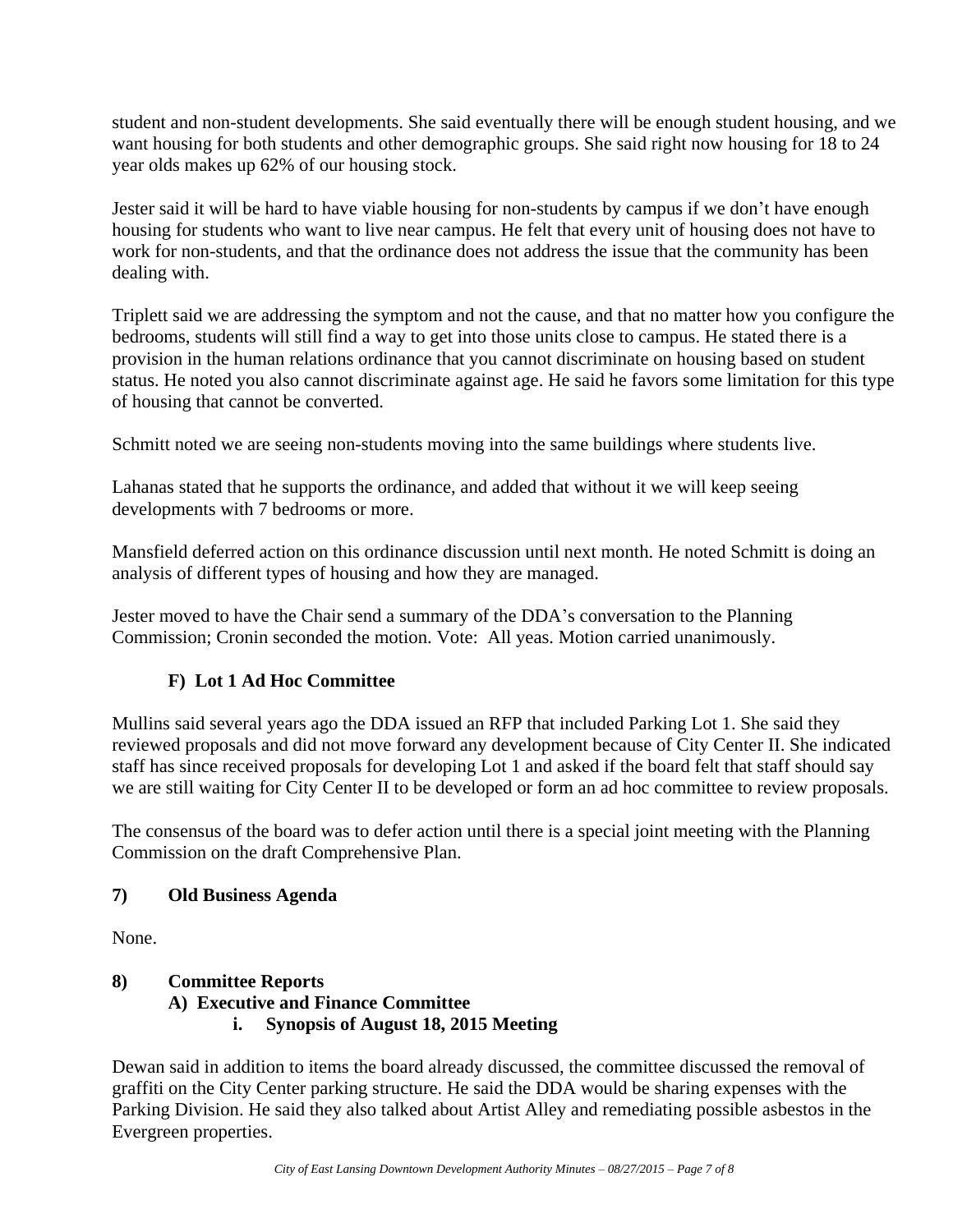student and non-student developments. She said eventually there will be enough student housing, and we want housing for both students and other demographic groups. She said right now housing for 18 to 24 year olds makes up 62% of our housing stock.

Jester said it will be hard to have viable housing for non-students by campus if we don't have enough housing for students who want to live near campus. He felt that every unit of housing does not have to work for non-students, and that the ordinance does not address the issue that the community has been dealing with.

Triplett said we are addressing the symptom and not the cause, and that no matter how you configure the bedrooms, students will still find a way to get into those units close to campus. He stated there is a provision in the human relations ordinance that you cannot discriminate on housing based on student status. He noted you also cannot discriminate against age. He said he favors some limitation for this type of housing that cannot be converted.

Schmitt noted we are seeing non-students moving into the same buildings where students live.

Lahanas stated that he supports the ordinance, and added that without it we will keep seeing developments with 7 bedrooms or more.

Mansfield deferred action on this ordinance discussion until next month. He noted Schmitt is doing an analysis of different types of housing and how they are managed.

Jester moved to have the Chair send a summary of the DDA's conversation to the Planning Commission; Cronin seconded the motion. Vote: All yeas. Motion carried unanimously.

## **F) Lot 1 Ad Hoc Committee**

Mullins said several years ago the DDA issued an RFP that included Parking Lot 1. She said they reviewed proposals and did not move forward any development because of City Center II. She indicated staff has since received proposals for developing Lot 1 and asked if the board felt that staff should say we are still waiting for City Center II to be developed or form an ad hoc committee to review proposals.

The consensus of the board was to defer action until there is a special joint meeting with the Planning Commission on the draft Comprehensive Plan.

## **7) Old Business Agenda**

None.

## **8) Committee Reports**

## **A) Executive and Finance Committee**

## **i. Synopsis of August 18, 2015 Meeting**

Dewan said in addition to items the board already discussed, the committee discussed the removal of graffiti on the City Center parking structure. He said the DDA would be sharing expenses with the Parking Division. He said they also talked about Artist Alley and remediating possible asbestos in the Evergreen properties.